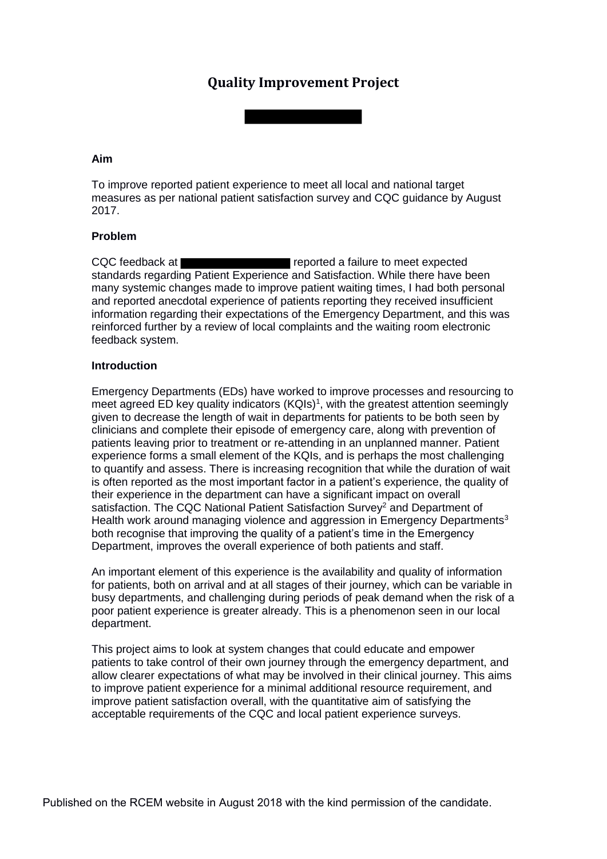# **Quality Improvement Project**

#### **Aim**

To improve reported patient experience to meet all local and national target measures as per national patient satisfaction survey and CQC guidance by August 2017.

### **Problem**

CQC feedback at **reported** a failure to meet expected standards regarding Patient Experience and Satisfaction. While there have been many systemic changes made to improve patient waiting times, I had both personal and reported anecdotal experience of patients reporting they received insufficient information regarding their expectations of the Emergency Department, and this was reinforced further by a review of local complaints and the waiting room electronic feedback system.

### **Introduction**

Emergency Departments (EDs) have worked to improve processes and resourcing to meet agreed ED key quality indicators (KQIs)<sup>1</sup>, with the greatest attention seemingly given to decrease the length of wait in departments for patients to be both seen by clinicians and complete their episode of emergency care, along with prevention of patients leaving prior to treatment or re-attending in an unplanned manner. Patient experience forms a small element of the KQIs, and is perhaps the most challenging to quantify and assess. There is increasing recognition that while the duration of wait is often reported as the most important factor in a patient's experience, the quality of their experience in the department can have a significant impact on overall satisfaction. The CQC National Patient Satisfaction Survey<sup>2</sup> and Department of Health work around managing violence and aggression in Emergency Departments<sup>3</sup> both recognise that improving the quality of a patient's time in the Emergency Department, improves the overall experience of both patients and staff.

An important element of this experience is the availability and quality of information for patients, both on arrival and at all stages of their journey, which can be variable in busy departments, and challenging during periods of peak demand when the risk of a poor patient experience is greater already. This is a phenomenon seen in our local department.

This project aims to look at system changes that could educate and empower patients to take control of their own journey through the emergency department, and allow clearer expectations of what may be involved in their clinical journey. This aims to improve patient experience for a minimal additional resource requirement, and improve patient satisfaction overall, with the quantitative aim of satisfying the acceptable requirements of the CQC and local patient experience surveys.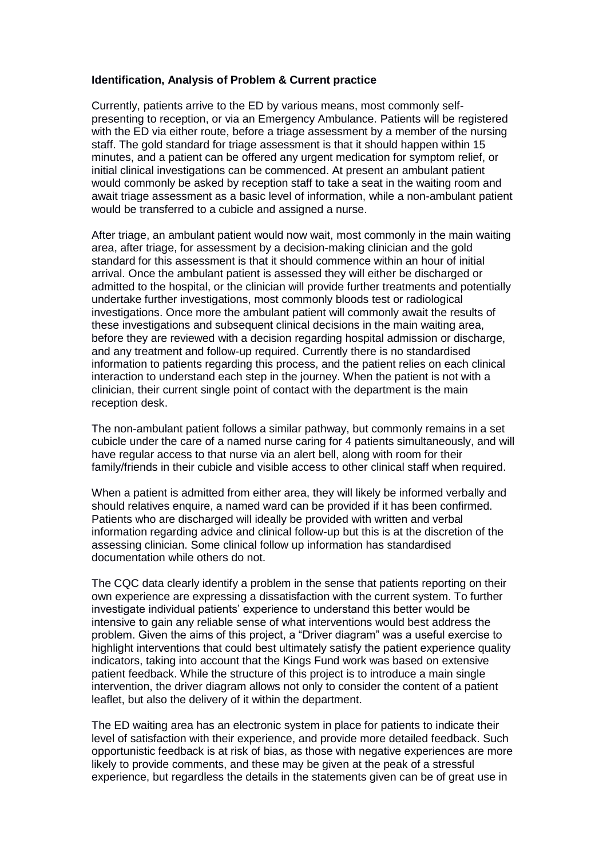#### **Identification, Analysis of Problem & Current practice**

Currently, patients arrive to the ED by various means, most commonly selfpresenting to reception, or via an Emergency Ambulance. Patients will be registered with the ED via either route, before a triage assessment by a member of the nursing staff. The gold standard for triage assessment is that it should happen within 15 minutes, and a patient can be offered any urgent medication for symptom relief, or initial clinical investigations can be commenced. At present an ambulant patient would commonly be asked by reception staff to take a seat in the waiting room and await triage assessment as a basic level of information, while a non-ambulant patient would be transferred to a cubicle and assigned a nurse.

After triage, an ambulant patient would now wait, most commonly in the main waiting area, after triage, for assessment by a decision-making clinician and the gold standard for this assessment is that it should commence within an hour of initial arrival. Once the ambulant patient is assessed they will either be discharged or admitted to the hospital, or the clinician will provide further treatments and potentially undertake further investigations, most commonly bloods test or radiological investigations. Once more the ambulant patient will commonly await the results of these investigations and subsequent clinical decisions in the main waiting area, before they are reviewed with a decision regarding hospital admission or discharge, and any treatment and follow-up required. Currently there is no standardised information to patients regarding this process, and the patient relies on each clinical interaction to understand each step in the journey. When the patient is not with a clinician, their current single point of contact with the department is the main reception desk.

The non-ambulant patient follows a similar pathway, but commonly remains in a set cubicle under the care of a named nurse caring for 4 patients simultaneously, and will have regular access to that nurse via an alert bell, along with room for their family/friends in their cubicle and visible access to other clinical staff when required.

When a patient is admitted from either area, they will likely be informed verbally and should relatives enquire, a named ward can be provided if it has been confirmed. Patients who are discharged will ideally be provided with written and verbal information regarding advice and clinical follow-up but this is at the discretion of the assessing clinician. Some clinical follow up information has standardised documentation while others do not.

The CQC data clearly identify a problem in the sense that patients reporting on their own experience are expressing a dissatisfaction with the current system. To further investigate individual patients' experience to understand this better would be intensive to gain any reliable sense of what interventions would best address the problem. Given the aims of this project, a "Driver diagram" was a useful exercise to highlight interventions that could best ultimately satisfy the patient experience quality indicators, taking into account that the Kings Fund work was based on extensive patient feedback. While the structure of this project is to introduce a main single intervention, the driver diagram allows not only to consider the content of a patient leaflet, but also the delivery of it within the department.

The ED waiting area has an electronic system in place for patients to indicate their level of satisfaction with their experience, and provide more detailed feedback. Such opportunistic feedback is at risk of bias, as those with negative experiences are more likely to provide comments, and these may be given at the peak of a stressful experience, but regardless the details in the statements given can be of great use in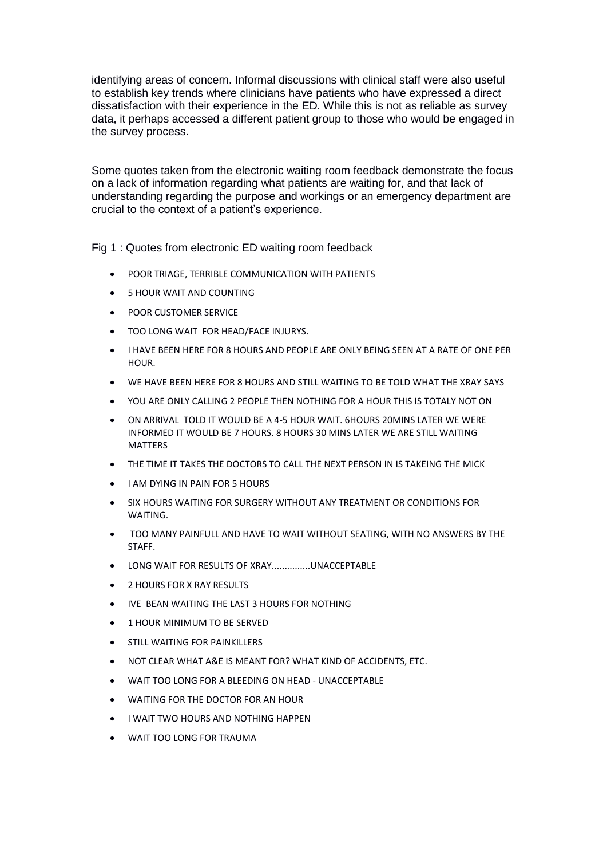identifying areas of concern. Informal discussions with clinical staff were also useful to establish key trends where clinicians have patients who have expressed a direct dissatisfaction with their experience in the ED. While this is not as reliable as survey data, it perhaps accessed a different patient group to those who would be engaged in the survey process.

Some quotes taken from the electronic waiting room feedback demonstrate the focus on a lack of information regarding what patients are waiting for, and that lack of understanding regarding the purpose and workings or an emergency department are crucial to the context of a patient's experience.

Fig 1 : Quotes from electronic ED waiting room feedback

- POOR TRIAGE, TERRIBLE COMMUNICATION WITH PATIENTS
- 5 HOUR WAIT AND COUNTING
- POOR CUSTOMER SERVICE
- TOO LONG WAIT FOR HEAD/FACE INJURYS.
- I HAVE BEEN HERE FOR 8 HOURS AND PEOPLE ARE ONLY BEING SEEN AT A RATE OF ONE PER HOUR.
- WE HAVE BEEN HERE FOR 8 HOURS AND STILL WAITING TO BE TOLD WHAT THE XRAY SAYS
- YOU ARE ONLY CALLING 2 PEOPLE THEN NOTHING FOR A HOUR THIS IS TOTALY NOT ON
- ON ARRIVAL TOLD IT WOULD BE A 4-5 HOUR WAIT. 6HOURS 20MINS LATER WE WERE INFORMED IT WOULD BE 7 HOURS. 8 HOURS 30 MINS LATER WE ARE STILL WAITING **MATTERS**
- THE TIME IT TAKES THE DOCTORS TO CALL THE NEXT PERSON IN IS TAKEING THE MICK
- I AM DYING IN PAIN FOR 5 HOURS
- SIX HOURS WAITING FOR SURGERY WITHOUT ANY TREATMENT OR CONDITIONS FOR WAITING.
- TOO MANY PAINFULL AND HAVE TO WAIT WITHOUT SEATING, WITH NO ANSWERS BY THE STAFF.
- LONG WAIT FOR RESULTS OF XRAY...............UNACCEPTABLE
- 2 HOURS FOR X RAY RESULTS
- IVE BEAN WAITING THE LAST 3 HOURS FOR NOTHING
- 1 HOUR MINIMUM TO BE SERVED
- STILL WAITING FOR PAINKILLERS
- NOT CLEAR WHAT A&E IS MEANT FOR? WHAT KIND OF ACCIDENTS, ETC.
- WAIT TOO LONG FOR A BLEEDING ON HEAD UNACCEPTABLE
- WAITING FOR THE DOCTOR FOR AN HOUR
- I WAIT TWO HOURS AND NOTHING HAPPEN
- WAIT TOO LONG FOR TRAUMA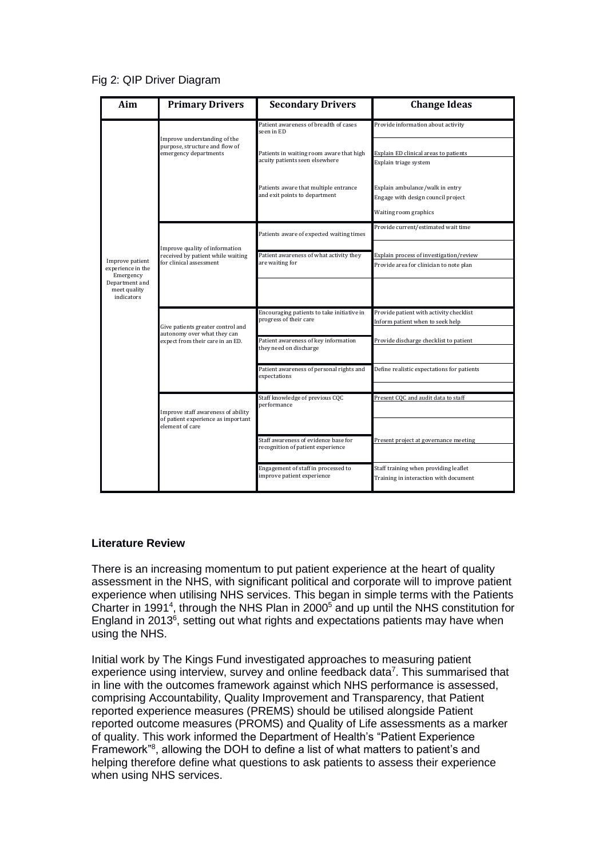#### Fig 2: QIP Driver Diagram

| Aim                                                                 | <b>Primary Drivers</b>                                                                               | <b>Secondary Drivers</b>                                                   | <b>Change Ideas</b>                                                                |
|---------------------------------------------------------------------|------------------------------------------------------------------------------------------------------|----------------------------------------------------------------------------|------------------------------------------------------------------------------------|
|                                                                     | Improve understanding of the<br>purpose, structure and flow of<br>emergency departments              | Patient awareness of breadth of cases<br>seen in ED                        | Provide information about activity                                                 |
|                                                                     |                                                                                                      | Patients in waiting room aware that high<br>acuity patients seen elsewhere | Explain ED clinical areas to patients<br>Explain triage system                     |
|                                                                     |                                                                                                      | Patients aware that multiple entrance<br>and exit points to department     | Explain ambulance/walk in entry<br>Engage with design council project              |
|                                                                     |                                                                                                      |                                                                            | Waiting room graphics                                                              |
|                                                                     |                                                                                                      | Patients aware of expected waiting times                                   | Provide current/estimated wait time                                                |
| Improve patient<br>experience in the<br>Emergency<br>Department and | Improve quality of information<br>received by patient while waiting<br>for clinical assessment       | Patient awareness of what activity they<br>are waiting for                 | Explain process of investigation/review<br>Provide area for clinician to note plan |
| meet quality<br>indicators                                          |                                                                                                      |                                                                            |                                                                                    |
|                                                                     | Give patients greater control and<br>autonomy over what they can<br>expect from their care in an ED. | Encouraging patients to take initiative in<br>progress of their care       | Provide patient with activity checklist<br>Inform patient when to seek help        |
|                                                                     |                                                                                                      | Patient awareness of key information<br>they need on discharge             | Provide discharge checklist to patient                                             |
|                                                                     |                                                                                                      | Patient awareness of personal rights and<br>expectations                   | Define realistic expectations for patients                                         |
|                                                                     | Improve staff awareness of ability<br>of patient experience as important<br>element of care          | Staff knowledge of previous CQC<br>performance                             | Present CQC and audit data to staff                                                |
|                                                                     |                                                                                                      | Staff awareness of evidence base for<br>recognition of patient experience  | Present project at governance meeting                                              |
|                                                                     |                                                                                                      | Engagement of staff in processed to<br>improve patient experience          | Staff training when providing leaflet<br>Training in interaction with document     |

# **Literature Review**

There is an increasing momentum to put patient experience at the heart of quality assessment in the NHS, with significant political and corporate will to improve patient experience when utilising NHS services. This began in simple terms with the Patients Charter in 1991<sup>4</sup>, through the NHS Plan in 2000<sup>5</sup> and up until the NHS constitution for England in 2013<sup>6</sup>, setting out what rights and expectations patients may have when using the NHS.

Initial work by The Kings Fund investigated approaches to measuring patient experience using interview, survey and online feedback data<sup>7</sup>. This summarised that in line with the outcomes framework against which NHS performance is assessed, comprising Accountability, Quality Improvement and Transparency, that Patient reported experience measures (PREMS) should be utilised alongside Patient reported outcome measures (PROMS) and Quality of Life assessments as a marker of quality. This work informed the Department of Health's "Patient Experience Framework<sup>"8</sup>, allowing the DOH to define a list of what matters to patient's and helping therefore define what questions to ask patients to assess their experience when using NHS services.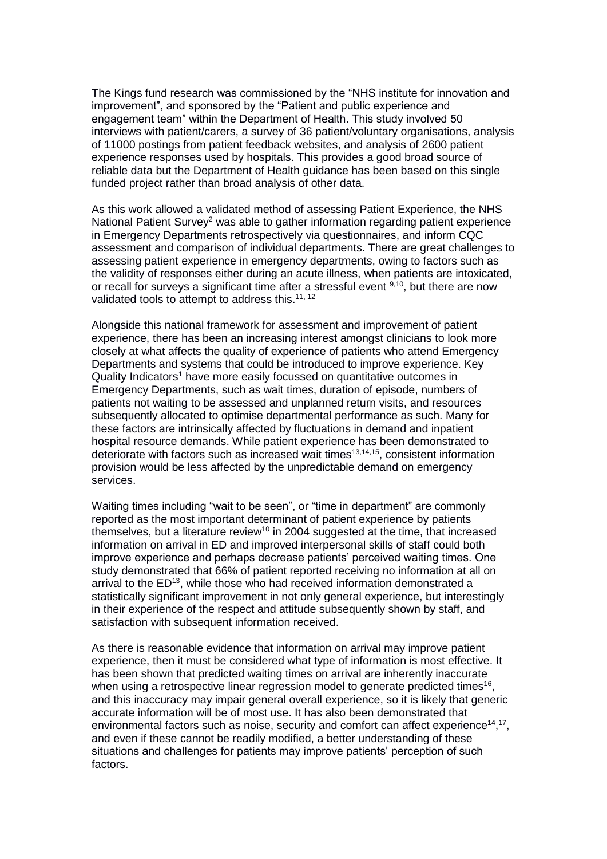The Kings fund research was commissioned by the "NHS institute for innovation and improvement", and sponsored by the "Patient and public experience and engagement team" within the Department of Health. This study involved 50 interviews with patient/carers, a survey of 36 patient/voluntary organisations, analysis of 11000 postings from patient feedback websites, and analysis of 2600 patient experience responses used by hospitals. This provides a good broad source of reliable data but the Department of Health guidance has been based on this single funded project rather than broad analysis of other data.

As this work allowed a validated method of assessing Patient Experience, the NHS National Patient Survey<sup>2</sup> was able to gather information regarding patient experience in Emergency Departments retrospectively via questionnaires, and inform CQC assessment and comparison of individual departments. There are great challenges to assessing patient experience in emergency departments, owing to factors such as the validity of responses either during an acute illness, when patients are intoxicated, or recall for surveys a significant time after a stressful event  $9,10$ , but there are now validated tools to attempt to address this.<sup>11, 12</sup>

Alongside this national framework for assessment and improvement of patient experience, there has been an increasing interest amongst clinicians to look more closely at what affects the quality of experience of patients who attend Emergency Departments and systems that could be introduced to improve experience. Key Quality Indicators<sup>1</sup> have more easily focussed on quantitative outcomes in Emergency Departments, such as wait times, duration of episode, numbers of patients not waiting to be assessed and unplanned return visits, and resources subsequently allocated to optimise departmental performance as such. Many for these factors are intrinsically affected by fluctuations in demand and inpatient hospital resource demands. While patient experience has been demonstrated to deteriorate with factors such as increased wait times<sup>13,14,15</sup>, consistent information provision would be less affected by the unpredictable demand on emergency services.

Waiting times including "wait to be seen", or "time in department" are commonly reported as the most important determinant of patient experience by patients themselves, but a literature review<sup>10</sup> in 2004 suggested at the time, that increased information on arrival in ED and improved interpersonal skills of staff could both improve experience and perhaps decrease patients' perceived waiting times. One study demonstrated that 66% of patient reported receiving no information at all on arrival to the ED<sup>13</sup>, while those who had received information demonstrated a statistically significant improvement in not only general experience, but interestingly in their experience of the respect and attitude subsequently shown by staff, and satisfaction with subsequent information received.

As there is reasonable evidence that information on arrival may improve patient experience, then it must be considered what type of information is most effective. It has been shown that predicted waiting times on arrival are inherently inaccurate when using a retrospective linear regression model to generate predicted times<sup>16</sup>, and this inaccuracy may impair general overall experience, so it is likely that generic accurate information will be of most use. It has also been demonstrated that environmental factors such as noise, security and comfort can affect experience<sup>14,17</sup>, and even if these cannot be readily modified, a better understanding of these situations and challenges for patients may improve patients' perception of such factors.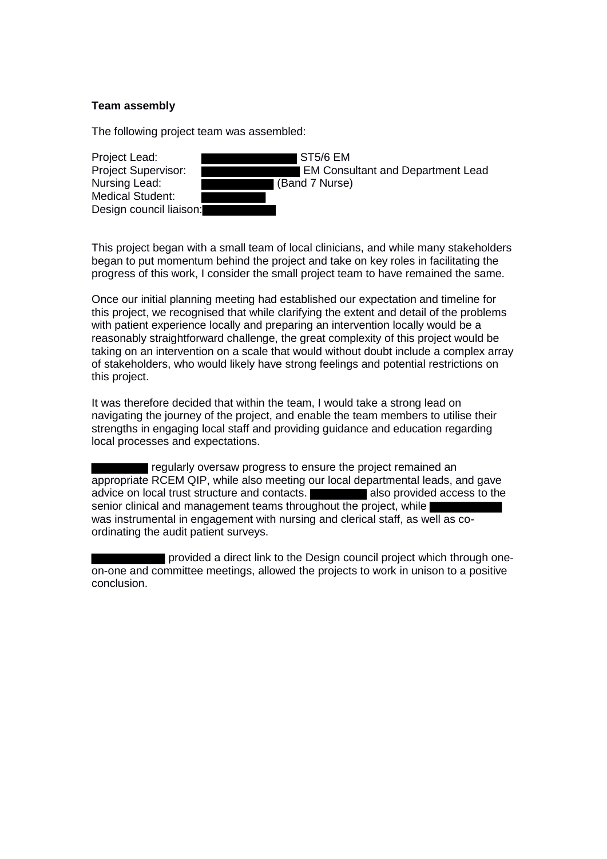# **Team assembly**

The following project team was assembled:



This project began with a small team of local clinicians, and while many stakeholders began to put momentum behind the project and take on key roles in facilitating the progress of this work, I consider the small project team to have remained the same.

Once our initial planning meeting had established our expectation and timeline for this project, we recognised that while clarifying the extent and detail of the problems with patient experience locally and preparing an intervention locally would be a reasonably straightforward challenge, the great complexity of this project would be taking on an intervention on a scale that would without doubt include a complex array of stakeholders, who would likely have strong feelings and potential restrictions on this project.

It was therefore decided that within the team, I would take a strong lead on navigating the journey of the project, and enable the team members to utilise their strengths in engaging local staff and providing guidance and education regarding local processes and expectations.

 regularly oversaw progress to ensure the project remained an appropriate RCEM QIP, while also meeting our local departmental leads, and gave advice on local trust structure and contacts. **Also provided access to the** senior clinical and management teams throughout the project, while was instrumental in engagement with nursing and clerical staff, as well as coordinating the audit patient surveys.

provided a direct link to the Design council project which through oneon-one and committee meetings, allowed the projects to work in unison to a positive conclusion.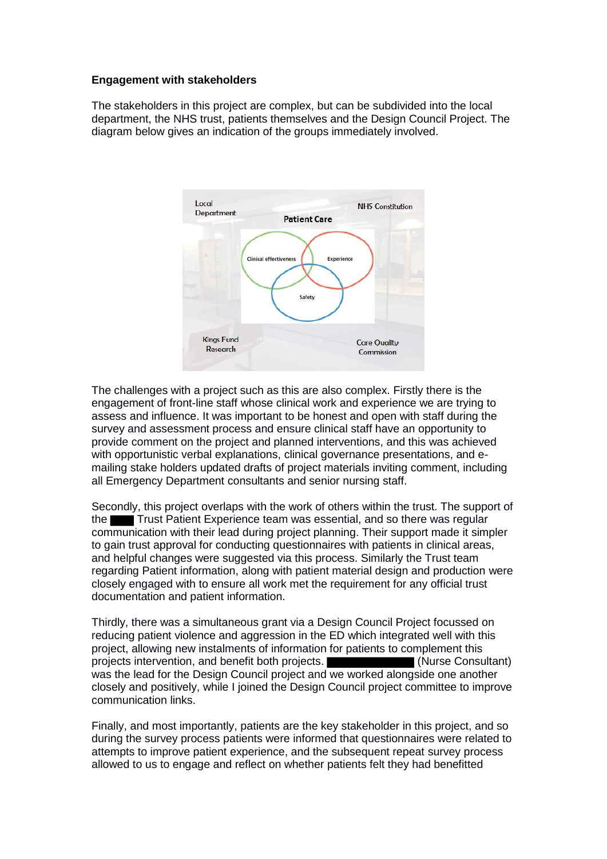#### **Engagement with stakeholders**

The stakeholders in this project are complex, but can be subdivided into the local department, the NHS trust, patients themselves and the Design Council Project. The diagram below gives an indication of the groups immediately involved.



The challenges with a project such as this are also complex. Firstly there is the engagement of front-line staff whose clinical work and experience we are trying to assess and influence. It was important to be honest and open with staff during the survey and assessment process and ensure clinical staff have an opportunity to provide comment on the project and planned interventions, and this was achieved with opportunistic verbal explanations, clinical governance presentations, and emailing stake holders updated drafts of project materials inviting comment, including all Emergency Department consultants and senior nursing staff.

Secondly, this project overlaps with the work of others within the trust. The support of the Trust Patient Experience team was essential, and so there was regular communication with their lead during project planning. Their support made it simpler to gain trust approval for conducting questionnaires with patients in clinical areas, and helpful changes were suggested via this process. Similarly the Trust team regarding Patient information, along with patient material design and production were closely engaged with to ensure all work met the requirement for any official trust documentation and patient information.

Thirdly, there was a simultaneous grant via a Design Council Project focussed on reducing patient violence and aggression in the ED which integrated well with this project, allowing new instalments of information for patients to complement this projects intervention, and benefit both projects. (Nurse Consultant) was the lead for the Design Council project and we worked alongside one another closely and positively, while I joined the Design Council project committee to improve communication links.

Finally, and most importantly, patients are the key stakeholder in this project, and so during the survey process patients were informed that questionnaires were related to attempts to improve patient experience, and the subsequent repeat survey process allowed to us to engage and reflect on whether patients felt they had benefitted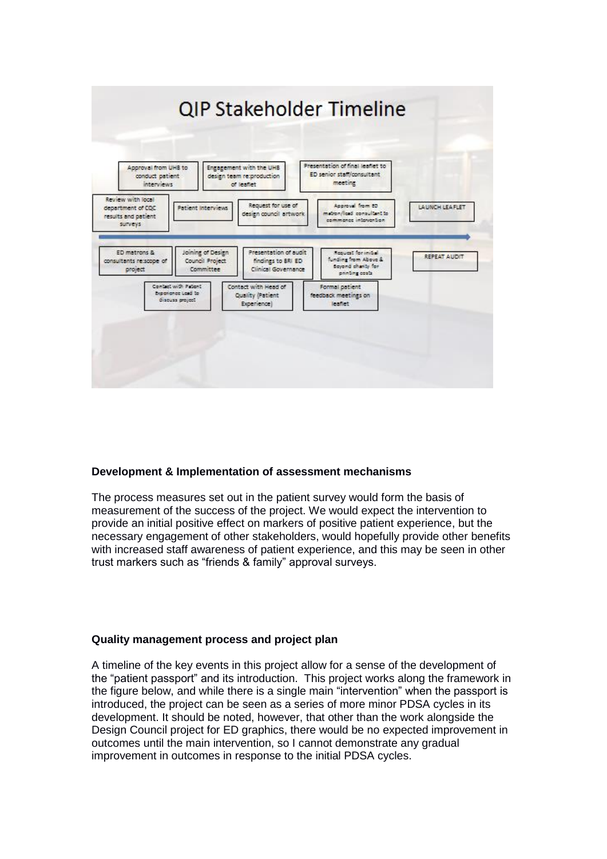

#### **Development & Implementation of assessment mechanisms**

The process measures set out in the patient survey would form the basis of measurement of the success of the project. We would expect the intervention to provide an initial positive effect on markers of positive patient experience, but the necessary engagement of other stakeholders, would hopefully provide other benefits with increased staff awareness of patient experience, and this may be seen in other trust markers such as "friends & family" approval surveys.

#### **Quality management process and project plan**

A timeline of the key events in this project allow for a sense of the development of the "patient passport" and its introduction. This project works along the framework in the figure below, and while there is a single main "intervention" when the passport is introduced, the project can be seen as a series of more minor PDSA cycles in its development. It should be noted, however, that other than the work alongside the Design Council project for ED graphics, there would be no expected improvement in outcomes until the main intervention, so I cannot demonstrate any gradual improvement in outcomes in response to the initial PDSA cycles.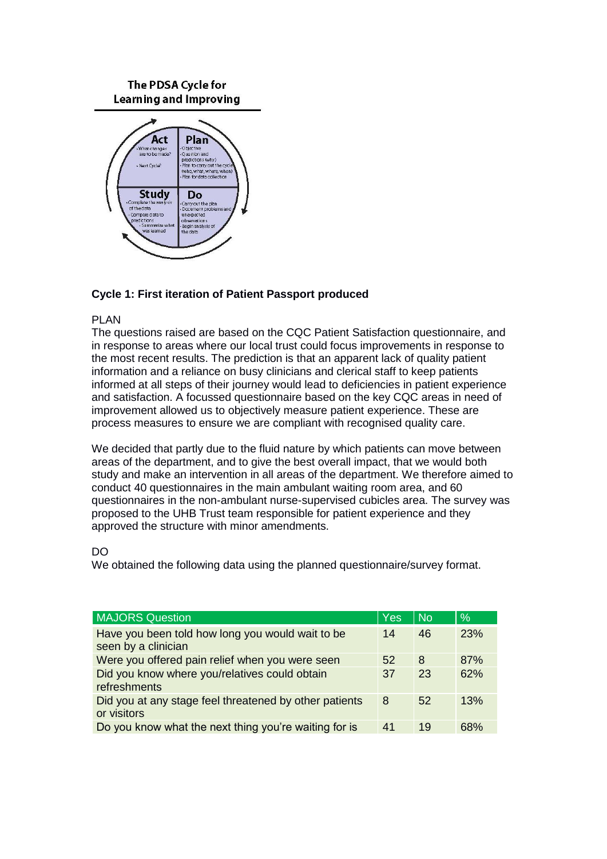# The PDSA Cycle for Learning and Improving



# **Cycle 1: First iteration of Patient Passport produced**

#### PLAN

The questions raised are based on the CQC Patient Satisfaction questionnaire, and in response to areas where our local trust could focus improvements in response to the most recent results. The prediction is that an apparent lack of quality patient information and a reliance on busy clinicians and clerical staff to keep patients informed at all steps of their journey would lead to deficiencies in patient experience and satisfaction. A focussed questionnaire based on the key CQC areas in need of improvement allowed us to objectively measure patient experience. These are process measures to ensure we are compliant with recognised quality care.

We decided that partly due to the fluid nature by which patients can move between areas of the department, and to give the best overall impact, that we would both study and make an intervention in all areas of the department. We therefore aimed to conduct 40 questionnaires in the main ambulant waiting room area, and 60 questionnaires in the non-ambulant nurse-supervised cubicles area. The survey was proposed to the UHB Trust team responsible for patient experience and they approved the structure with minor amendments.

#### DO

We obtained the following data using the planned questionnaire/survey format.

| <b>MAJORS</b> Question                                                  | Yes | <b>No</b> | $\%$ |
|-------------------------------------------------------------------------|-----|-----------|------|
| Have you been told how long you would wait to be<br>seen by a clinician | 14  | 46        | 23%  |
| Were you offered pain relief when you were seen                         | 52  | 8         | 87%  |
| Did you know where you/relatives could obtain<br>refreshments           | 37  | 23        | 62%  |
| Did you at any stage feel threatened by other patients<br>or visitors   | 8   | 52        | 13%  |
| Do you know what the next thing you're waiting for is                   | 41  | 19        | 68%  |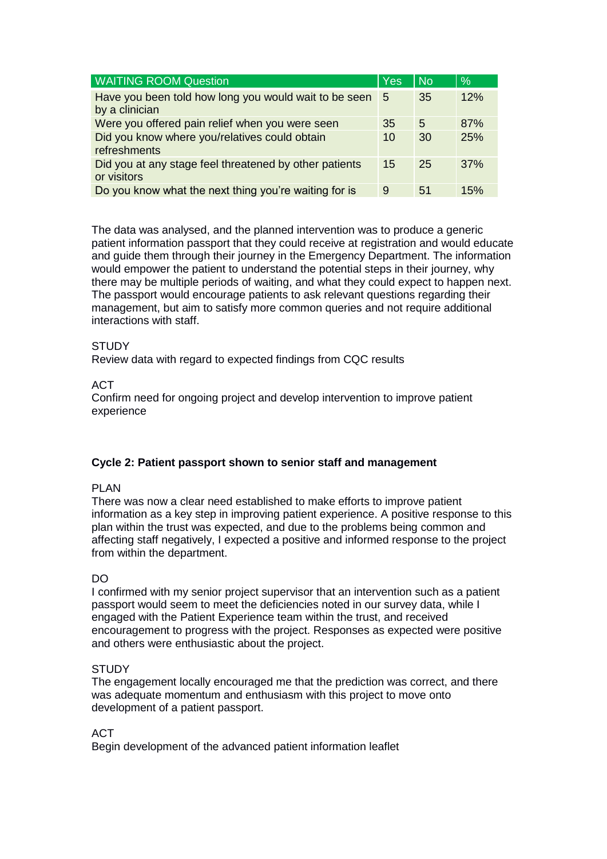| <b>WAITING ROOM Question</b>                                            | <b>Yes</b> | <b>No</b> | $\%$ |
|-------------------------------------------------------------------------|------------|-----------|------|
| Have you been told how long you would wait to be seen<br>by a clinician | - 5        | 35        | 12%  |
| Were you offered pain relief when you were seen                         | 35         | -5        | 87%  |
| Did you know where you/relatives could obtain<br>refreshments           | 10         | 30        | 25%  |
| Did you at any stage feel threatened by other patients<br>or visitors   | 15         | 25        | 37%  |
| Do you know what the next thing you're waiting for is                   | 9          | 51        | 15%  |

The data was analysed, and the planned intervention was to produce a generic patient information passport that they could receive at registration and would educate and guide them through their journey in the Emergency Department. The information would empower the patient to understand the potential steps in their journey, why there may be multiple periods of waiting, and what they could expect to happen next. The passport would encourage patients to ask relevant questions regarding their management, but aim to satisfy more common queries and not require additional interactions with staff.

# **STUDY**

Review data with regard to expected findings from CQC results

### **ACT**

Confirm need for ongoing project and develop intervention to improve patient experience

# **Cycle 2: Patient passport shown to senior staff and management**

### PI AN

There was now a clear need established to make efforts to improve patient information as a key step in improving patient experience. A positive response to this plan within the trust was expected, and due to the problems being common and affecting staff negatively, I expected a positive and informed response to the project from within the department.

# DO

I confirmed with my senior project supervisor that an intervention such as a patient passport would seem to meet the deficiencies noted in our survey data, while I engaged with the Patient Experience team within the trust, and received encouragement to progress with the project. Responses as expected were positive and others were enthusiastic about the project.

# **STUDY**

The engagement locally encouraged me that the prediction was correct, and there was adequate momentum and enthusiasm with this project to move onto development of a patient passport.

# ACT

Begin development of the advanced patient information leaflet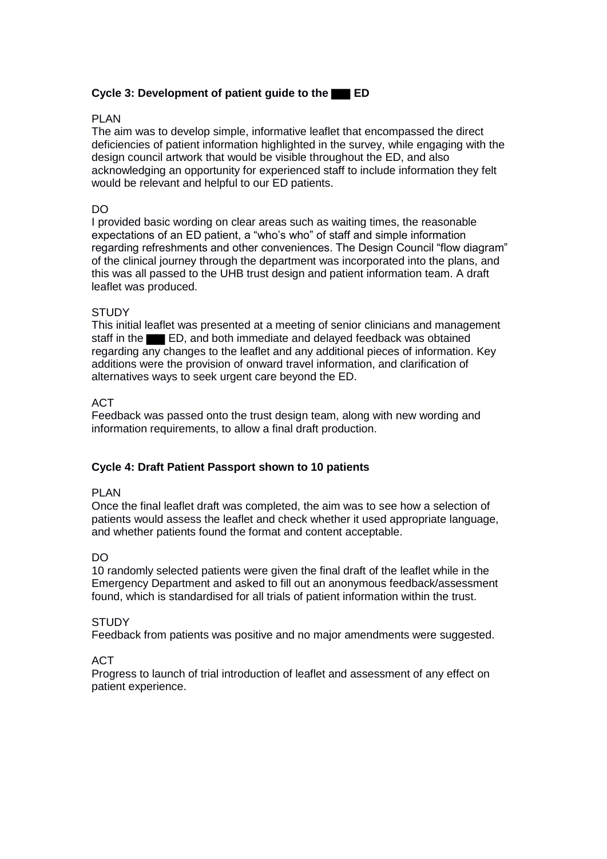# **Cycle 3: Development of patient guide to the ED**

### PI AN

The aim was to develop simple, informative leaflet that encompassed the direct deficiencies of patient information highlighted in the survey, while engaging with the design council artwork that would be visible throughout the ED, and also acknowledging an opportunity for experienced staff to include information they felt would be relevant and helpful to our ED patients.

# DO

I provided basic wording on clear areas such as waiting times, the reasonable expectations of an ED patient, a "who's who" of staff and simple information regarding refreshments and other conveniences. The Design Council "flow diagram" of the clinical journey through the department was incorporated into the plans, and this was all passed to the UHB trust design and patient information team. A draft leaflet was produced.

#### **STUDY**

This initial leaflet was presented at a meeting of senior clinicians and management staff in the ED, and both immediate and delayed feedback was obtained regarding any changes to the leaflet and any additional pieces of information. Key additions were the provision of onward travel information, and clarification of alternatives ways to seek urgent care beyond the ED.

### ACT

Feedback was passed onto the trust design team, along with new wording and information requirements, to allow a final draft production.

# **Cycle 4: Draft Patient Passport shown to 10 patients**

#### PLAN

Once the final leaflet draft was completed, the aim was to see how a selection of patients would assess the leaflet and check whether it used appropriate language, and whether patients found the format and content acceptable.

#### DO

10 randomly selected patients were given the final draft of the leaflet while in the Emergency Department and asked to fill out an anonymous feedback/assessment found, which is standardised for all trials of patient information within the trust.

#### **STUDY**

Feedback from patients was positive and no major amendments were suggested.

# ACT

Progress to launch of trial introduction of leaflet and assessment of any effect on patient experience.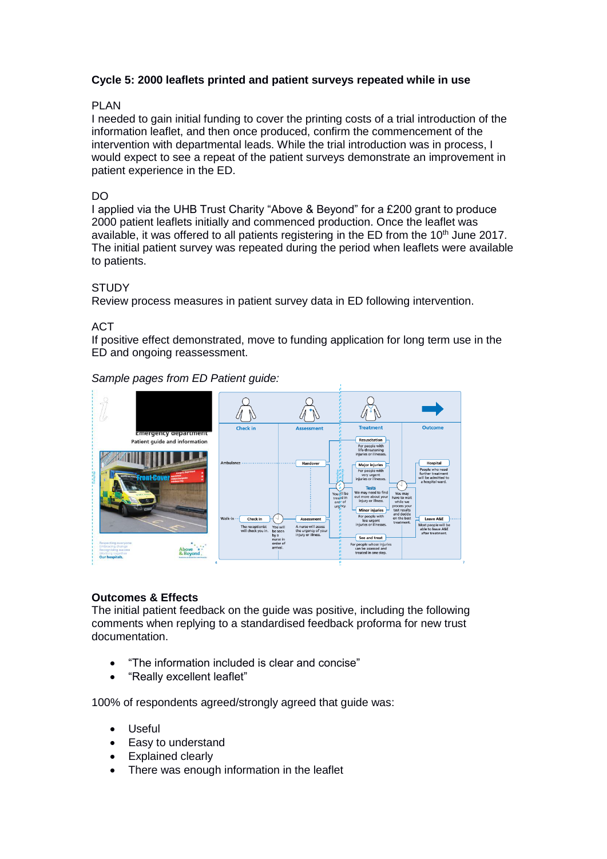# **Cycle 5: 2000 leaflets printed and patient surveys repeated while in use**

# PLAN

I needed to gain initial funding to cover the printing costs of a trial introduction of the information leaflet, and then once produced, confirm the commencement of the intervention with departmental leads. While the trial introduction was in process, I would expect to see a repeat of the patient surveys demonstrate an improvement in patient experience in the ED.

# DO

I applied via the UHB Trust Charity "Above & Beyond" for a £200 grant to produce 2000 patient leaflets initially and commenced production. Once the leaflet was available, it was offered to all patients registering in the ED from the  $10<sup>th</sup>$  June 2017. The initial patient survey was repeated during the period when leaflets were available to patients.

# **STUDY**

Review process measures in patient survey data in ED following intervention.

# ACT

If positive effect demonstrated, move to funding application for long term use in the ED and ongoing reassessment.

# *Sample pages from ED Patient guide:*



# **Outcomes & Effects**

The initial patient feedback on the guide was positive, including the following comments when replying to a standardised feedback proforma for new trust documentation.

- "The information included is clear and concise"
- "Really excellent leaflet"

100% of respondents agreed/strongly agreed that guide was:

- Useful
- Easy to understand
- Explained clearly
- There was enough information in the leaflet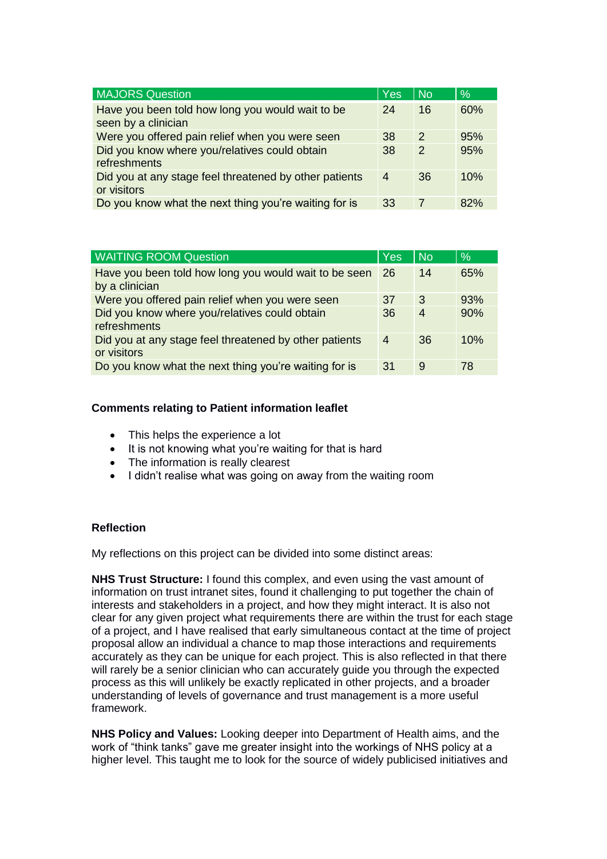| <b>MAJORS Question</b>                                                  | Yes            | <b>No</b>     | $\%$ |
|-------------------------------------------------------------------------|----------------|---------------|------|
| Have you been told how long you would wait to be<br>seen by a clinician | 24             | 16            | 60%  |
| Were you offered pain relief when you were seen                         | 38             | $\mathcal{P}$ | 95%  |
| Did you know where you/relatives could obtain<br>refreshments           | 38             | 2             | 95%  |
| Did you at any stage feel threatened by other patients<br>or visitors   | $\overline{4}$ | 36            | 10%  |
| Do you know what the next thing you're waiting for is                   | 33             |               | 82%  |

| <b>WAITING ROOM Question</b>                                            | <b>Yes</b>     | <b>No</b>      | $\%$ |
|-------------------------------------------------------------------------|----------------|----------------|------|
| Have you been told how long you would wait to be seen<br>by a clinician | -26            | 14             | 65%  |
| Were you offered pain relief when you were seen                         | 37             | 3              | 93%  |
| Did you know where you/relatives could obtain<br>refreshments           | 36             | $\overline{4}$ | 90%  |
| Did you at any stage feel threatened by other patients<br>or visitors   | $\overline{4}$ | 36             | 10%  |
| Do you know what the next thing you're waiting for is                   | 31             | 9              | 78   |

# **Comments relating to Patient information leaflet**

- This helps the experience a lot
- It is not knowing what you're waiting for that is hard
- The information is really clearest
- I didn't realise what was going on away from the waiting room

#### **Reflection**

My reflections on this project can be divided into some distinct areas:

**NHS Trust Structure:** I found this complex, and even using the vast amount of information on trust intranet sites, found it challenging to put together the chain of interests and stakeholders in a project, and how they might interact. It is also not clear for any given project what requirements there are within the trust for each stage of a project, and I have realised that early simultaneous contact at the time of project proposal allow an individual a chance to map those interactions and requirements accurately as they can be unique for each project. This is also reflected in that there will rarely be a senior clinician who can accurately guide you through the expected process as this will unlikely be exactly replicated in other projects, and a broader understanding of levels of governance and trust management is a more useful framework.

**NHS Policy and Values:** Looking deeper into Department of Health aims, and the work of "think tanks" gave me greater insight into the workings of NHS policy at a higher level. This taught me to look for the source of widely publicised initiatives and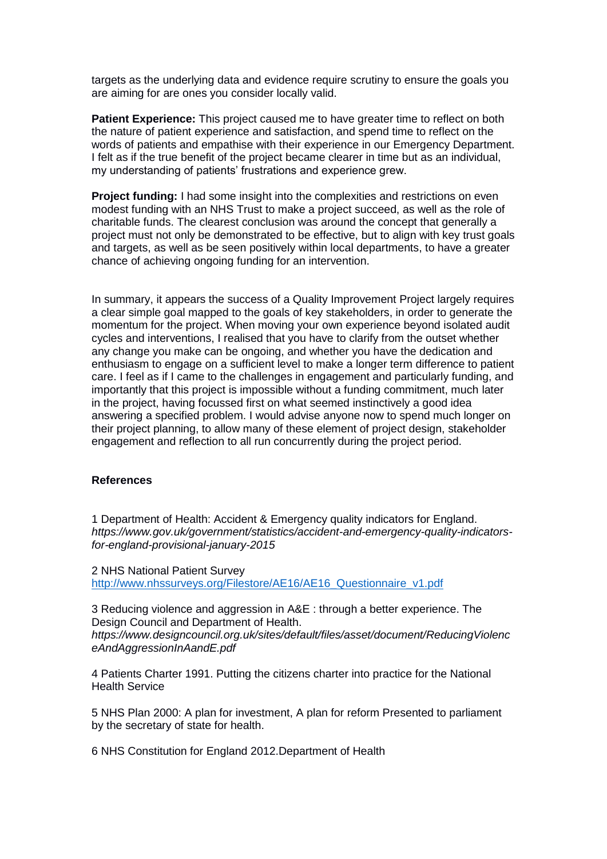targets as the underlying data and evidence require scrutiny to ensure the goals you are aiming for are ones you consider locally valid.

**Patient Experience:** This project caused me to have greater time to reflect on both the nature of patient experience and satisfaction, and spend time to reflect on the words of patients and empathise with their experience in our Emergency Department. I felt as if the true benefit of the project became clearer in time but as an individual, my understanding of patients' frustrations and experience grew.

**Project funding:** I had some insight into the complexities and restrictions on even modest funding with an NHS Trust to make a project succeed, as well as the role of charitable funds. The clearest conclusion was around the concept that generally a project must not only be demonstrated to be effective, but to align with key trust goals and targets, as well as be seen positively within local departments, to have a greater chance of achieving ongoing funding for an intervention.

In summary, it appears the success of a Quality Improvement Project largely requires a clear simple goal mapped to the goals of key stakeholders, in order to generate the momentum for the project. When moving your own experience beyond isolated audit cycles and interventions, I realised that you have to clarify from the outset whether any change you make can be ongoing, and whether you have the dedication and enthusiasm to engage on a sufficient level to make a longer term difference to patient care. I feel as if I came to the challenges in engagement and particularly funding, and importantly that this project is impossible without a funding commitment, much later in the project, having focussed first on what seemed instinctively a good idea answering a specified problem. I would advise anyone now to spend much longer on their project planning, to allow many of these element of project design, stakeholder engagement and reflection to all run concurrently during the project period.

#### **References**

1 Department of Health: Accident & Emergency quality indicators for England. *https://www.gov.uk/government/statistics/accident-and-emergency-quality-indicatorsfor-england-provisional-january-2015*

2 NHS National Patient Survey [http://www.nhssurveys.org/Filestore/AE16/AE16\\_Questionnaire\\_v1.pdf](http://www.nhssurveys.org/Filestore/AE16/AE16_Questionnaire_v1.pdf)

3 Reducing violence and aggression in A&E : through a better experience. The Design Council and Department of Health. *https://www.designcouncil.org.uk/sites/default/files/asset/document/ReducingViolenc eAndAggressionInAandE.pdf*

4 Patients Charter 1991. Putting the citizens charter into practice for the National Health Service

5 NHS Plan 2000: A plan for investment, A plan for reform Presented to parliament by the secretary of state for health.

6 NHS Constitution for England 2012.Department of Health